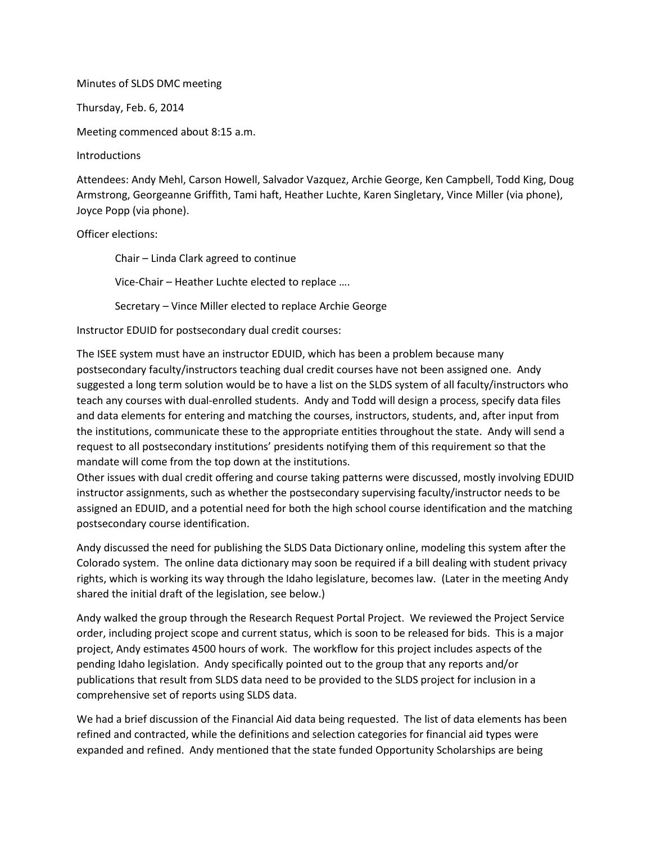## Minutes of SLDS DMC meeting

Thursday, Feb. 6, 2014

Meeting commenced about 8:15 a.m.

**Introductions** 

Attendees: Andy Mehl, Carson Howell, Salvador Vazquez, Archie George, Ken Campbell, Todd King, Doug Armstrong, Georgeanne Griffith, Tami haft, Heather Luchte, Karen Singletary, Vince Miller (via phone), Joyce Popp (via phone).

## Officer elections:

Chair – Linda Clark agreed to continue Vice-Chair – Heather Luchte elected to replace ….

Secretary – Vince Miller elected to replace Archie George

Instructor EDUID for postsecondary dual credit courses:

The ISEE system must have an instructor EDUID, which has been a problem because many postsecondary faculty/instructors teaching dual credit courses have not been assigned one. Andy suggested a long term solution would be to have a list on the SLDS system of all faculty/instructors who teach any courses with dual-enrolled students. Andy and Todd will design a process, specify data files and data elements for entering and matching the courses, instructors, students, and, after input from the institutions, communicate these to the appropriate entities throughout the state. Andy will send a request to all postsecondary institutions' presidents notifying them of this requirement so that the mandate will come from the top down at the institutions.

Other issues with dual credit offering and course taking patterns were discussed, mostly involving EDUID instructor assignments, such as whether the postsecondary supervising faculty/instructor needs to be assigned an EDUID, and a potential need for both the high school course identification and the matching postsecondary course identification.

Andy discussed the need for publishing the SLDS Data Dictionary online, modeling this system after the Colorado system. The online data dictionary may soon be required if a bill dealing with student privacy rights, which is working its way through the Idaho legislature, becomes law. (Later in the meeting Andy shared the initial draft of the legislation, see below.)

Andy walked the group through the Research Request Portal Project. We reviewed the Project Service order, including project scope and current status, which is soon to be released for bids. This is a major project, Andy estimates 4500 hours of work. The workflow for this project includes aspects of the pending Idaho legislation. Andy specifically pointed out to the group that any reports and/or publications that result from SLDS data need to be provided to the SLDS project for inclusion in a comprehensive set of reports using SLDS data.

We had a brief discussion of the Financial Aid data being requested. The list of data elements has been refined and contracted, while the definitions and selection categories for financial aid types were expanded and refined. Andy mentioned that the state funded Opportunity Scholarships are being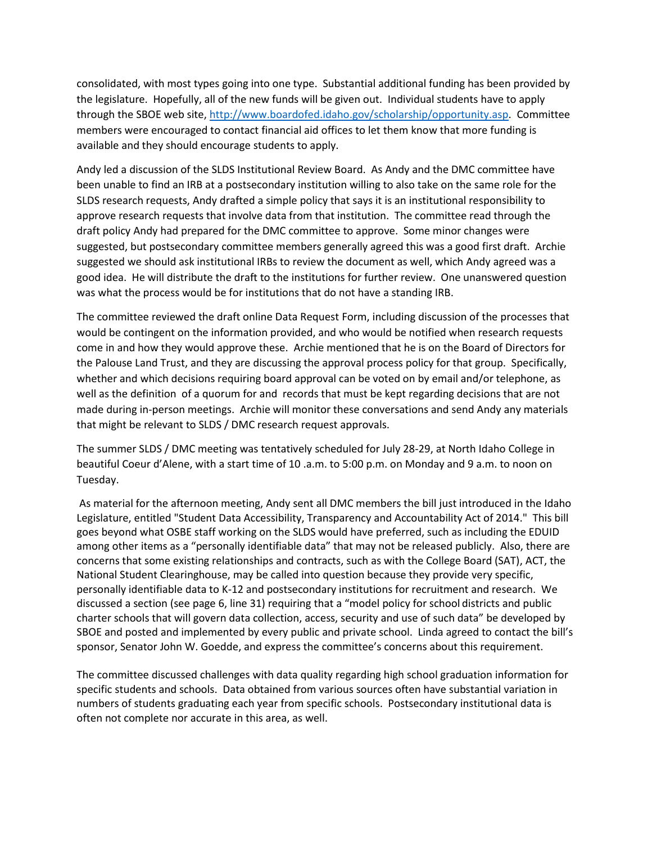consolidated, with most types going into one type. Substantial additional funding has been provided by the legislature. Hopefully, all of the new funds will be given out. Individual students have to apply through the SBOE web site[, http://www.boardofed.idaho.gov/scholarship/opportunity.asp.](http://www.boardofed.idaho.gov/scholarship/opportunity.asp) Committee members were encouraged to contact financial aid offices to let them know that more funding is available and they should encourage students to apply.

Andy led a discussion of the SLDS Institutional Review Board. As Andy and the DMC committee have been unable to find an IRB at a postsecondary institution willing to also take on the same role for the SLDS research requests, Andy drafted a simple policy that says it is an institutional responsibility to approve research requests that involve data from that institution. The committee read through the draft policy Andy had prepared for the DMC committee to approve. Some minor changes were suggested, but postsecondary committee members generally agreed this was a good first draft. Archie suggested we should ask institutional IRBs to review the document as well, which Andy agreed was a good idea. He will distribute the draft to the institutions for further review. One unanswered question was what the process would be for institutions that do not have a standing IRB.

The committee reviewed the draft online Data Request Form, including discussion of the processes that would be contingent on the information provided, and who would be notified when research requests come in and how they would approve these. Archie mentioned that he is on the Board of Directors for the Palouse Land Trust, and they are discussing the approval process policy for that group. Specifically, whether and which decisions requiring board approval can be voted on by email and/or telephone, as well as the definition of a quorum for and records that must be kept regarding decisions that are not made during in-person meetings. Archie will monitor these conversations and send Andy any materials that might be relevant to SLDS / DMC research request approvals.

The summer SLDS / DMC meeting was tentatively scheduled for July 28-29, at North Idaho College in beautiful Coeur d'Alene, with a start time of 10 .a.m. to 5:00 p.m. on Monday and 9 a.m. to noon on Tuesday.

As material for the afternoon meeting, Andy sent all DMC members the bill just introduced in the Idaho Legislature, entitled "Student Data Accessibility, Transparency and Accountability Act of 2014." This bill goes beyond what OSBE staff working on the SLDS would have preferred, such as including the EDUID among other items as a "personally identifiable data" that may not be released publicly. Also, there are concerns that some existing relationships and contracts, such as with the College Board (SAT), ACT, the National Student Clearinghouse, may be called into question because they provide very specific, personally identifiable data to K-12 and postsecondary institutions for recruitment and research. We discussed a section (see page 6, line 31) requiring that a "model policy for school districts and public charter schools that will govern data collection, access, security and use of such data" be developed by SBOE and posted and implemented by every public and private school. Linda agreed to contact the bill's sponsor, Senator John W. Goedde, and express the committee's concerns about this requirement.

The committee discussed challenges with data quality regarding high school graduation information for specific students and schools. Data obtained from various sources often have substantial variation in numbers of students graduating each year from specific schools. Postsecondary institutional data is often not complete nor accurate in this area, as well.